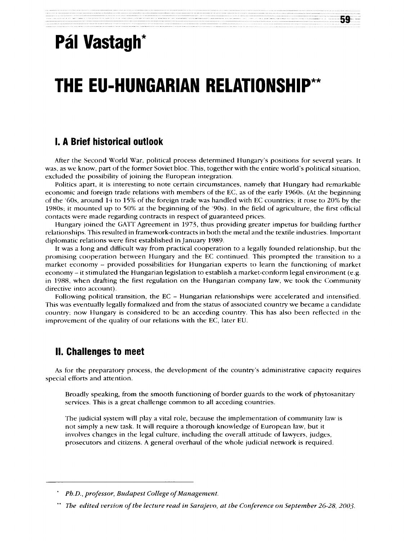## **Pál Vastagh\***

# **THE EU-HUNGARIAN RELATIONSHIP\*\***

#### **I. A Brief historical outlook**

After the Second World War, political process determined Hungary's positions for several years. It was, as we know, part of the former Soviet bloc. This, together with the entire world's political situation, excluded the possibility of joining the European integration.

Politics apart, it is interesting to note certain circumstances, namely that Hungary had remarkable economic and foreign trade relations with members of the EC, as of the early 1960s. (At the beginning of the '60s, around 14 to 15% of the foreign trade was handled with EC countries; it rose to 20% by the 1980s, it mounted up to 50% at the beginning of the '90s). In the field of agriculture, the first official contacts were made regarding contracts in respect of guaranteed prices.

Hungary joined the GATT Agreement in 1973, thus providing greater impetus for building further relationships. This resulted in framework-contracts in both the metal and the textile industries. Important diplomatic relations were first established in January 1989.

It was a long and difficult way from practical cooperation to a legally founded relationship, but the promising cooperation between Hungary and the EC continued. This prompted the transition to a market economy – provided possibilities for Hungárián experts to learn the functioning of market economy – it stimulated the Hungarian legislation to establish a market-conform legal environment (e.g. in 1988, when drafting the first regulation on the Hungarian company law, we took the Community directive into account).

Following political transition, the EC - Hungarian relationships were accelerated and intensified. This was eventually legally formalized and from the status of associated country we became a candidate country; now Hungary is considered to be an acceding country. This has also been reflected in the improvement of the quality of our relations with the EC, later EU.

#### **II. Challenges to meet**

As for the preparatory process, the development of the country's administrative capacity requires special efforts and attention.

Broadly speaking, from the smooth functioning of border guards to the work of phytosanitary services. This is a great challenge common to all acceding countries.

The judicial system will play a vital role, because the implementation of community law is not simply a new task. It will require a thorough knowledge of European law, but it involves changes in the legal culture, including the overall attitude of lawyers, judges, prosecutors and citizens. A general overhaul of the whole judicial network is required.

*Ph.D., professor, Budapest College of Management.* 

*The edited version of the lecture read in Sarajevo, at the Conference on September 26-28, 2003.*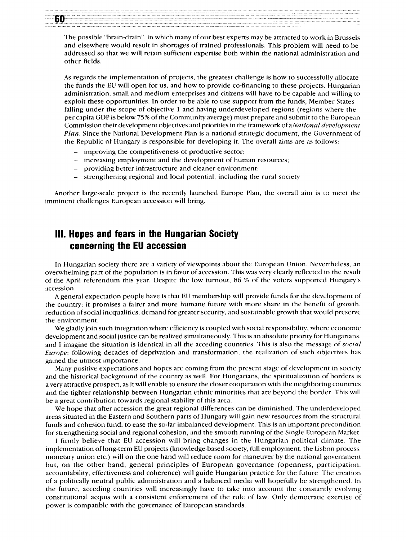The possible "brain-drain", in which many of our best experts may be attracted to work in Brussels and elsewhere would result in shortages of trained professionals. This problem will need to be addressed so that we will retain sufficient expertise both within the national administration and other fields.

As regards the implementation of projects, the greatest challenge is how to successfully allocate the funds the EU will open for us, and how to provide co-financing to these projects. Hungarian administration, small and medium enterprises and citizens will have to be capable and willing to exploit these opportunities. In order to be able to use support from the funds, Member States falling under the scope of objective 1 and having underdeveloped regions (regions where the per capita GDP is below 75% of the Community average) must prepare and submit to the European Commission their development objectives and priorities in the framework of aNational development *Plan.* Since the National Development Plan is a national strategic document, the Government of the Republic of Hungary is responsible for developing it. The overall aims are as follows:

- improving the competitiveness of productive sector;
- increasing employment and the development of human resources;
- providing better infrastructure and cleaner environment;
- strengthening regional and local potential, including the rural society

Another large-scale project is the recently launched Europe Plan, the overall aim is to meet the imminent challenges European accession will bring.

### **III. Hopes and fears in the Hungarian Society concerning the EU accession**

In Hungarian society there are a variety of viewpoints about the European Union. Nevertheless, an overwhelming part of the population is in favor of accession. This was very clearly reflected in the result of the April referendum this year. Despite the low turnout, 86 % of the voters supported Hungary's accession.

A general expectation people have is that EU membership will provide funds for the development of the country; it promises a fairer and more humane future with more share in the benefit of growth, reduction of social inequalities, demand for greater security, and sustainable growth that would preserve the environment.

We gladly join such integration where efficiency is coupled with social responsibility, where economic development and social justice can be realized simultaneously. This is an absolute priority for Hungarians, and I imagine the situation is identical in all the acceding countries. This is also the message of *social Europe:* following decades of deprivation and transformation, the realization of such objectives has gained the utmost importance .

Many positive expectations and hopes are coming from the present stage of development in society and the historical background of the country as well. For Hungarians, the spiritualization of borders is a very attractive prospect, as it will enable to ensure the closer cooperation with the neighboring countries and the tighter relationship between Hungarian ethnic minorities that are beyond the border. This will be a great contribution towards regional stability of this area.

We hope that after accession the great regional differences can be diminished. The underdeveloped areas situated in the Eastern and Southern parts of Hungary will gain new resources from the structural funds and cohesion fund, to ease the so-far imbalanced development. This is an important precondition for strengthening social and regional cohesion, and the smooth running of the Single European Market.

I firmly believe that EU accession will bring changes in the Hungarian political climate. The implementation of long-term EU projects (knowledge-based society, full employment, the Lisbon process, monetary union etc.) will on the one hand will reduce room for maneuver by the national government but, on the other hand, general principles of European governance (openness, participation, accountability, effectiveness and coherence) will guide Hungarian practice for the future. The creation of a politically neutral public administration and a balanced media will hopefully be strengthened. In the future, acceding countries will increasingly have to take into account the constantly evolving constitutional acquis with a consistent enforcement of the rule of law. Only democratic exercise of power is compatible with the governance of European standards.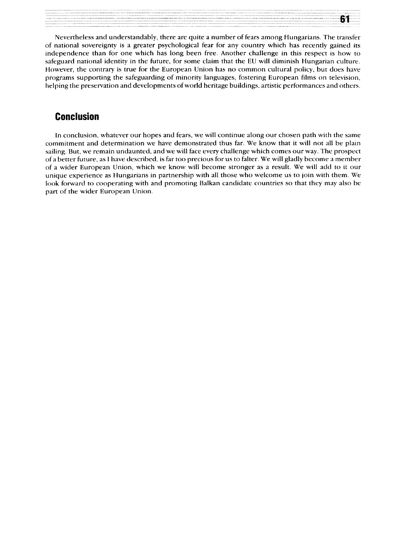Nevertheless and understandably, there are quite a number of fears among Hungarians. The transfer of national sovereignty is a greater psychological fear for any country which has recently gained its independence than for one which has long been free. Another challenge in this respect is how to safeguard national identity in the future, for some claim that the EU will diminish Hungarian culture. However, the contrary is true for the European Union has no common cultural policy, but does have programs supporting the safeguarding of minority languages, fostering European films on television, helping the preservation and developments of world heritage buildings, artistic performances and others.

61

#### **Conclusion**

In conclusion, whatever our hopes and fears, we will continue along our chosen path with the same commitment and determination we have demonstrated thus far. We know that it will not all be plain sailing. But, we remain undaunted, and we will face every challenge which comes our way. The prospect of a better future, as I have described, is far too precious for us to falter. We will gladly become a member of a wider European Union, which we know will become stronger as a result. We will add to it our unique experience as Hungarians in partnership with all those who welcome us to join with them. We look forward to cooperating with and promoting Balkan candidate countries so that they may also be part of the wider European Union.